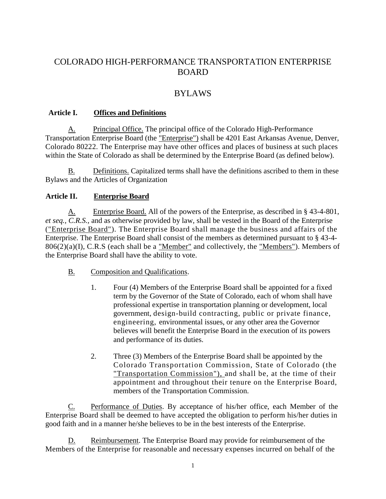# COLORADO HIGH-PERFORMANCE TRANSPORTATION ENTERPRISE BOARD

# BYLAWS

#### **Article I. Offices and Definitions**

A. Principal Office. The principal office of the Colorado High-Performance Transportation Enterprise Board (the "Enterprise") shall be 4201 East Arkansas Avenue, Denver, Colorado 80222. The Enterprise may have other offices and places of business at such places within the State of Colorado as shall be determined by the Enterprise Board (as defined below).

B. Definitions. Capitalized terms shall have the definitions ascribed to them in these Bylaws and the Articles of Organization

### **Article II. Enterprise Board**

A. Enterprise Board. All of the powers of the Enterprise, as described in § 43-4-801, *et seq., C.R.S.,* and as otherwise provided by law, shall be vested in the Board of the Enterprise ("Enterprise Board"). The Enterprise Board shall manage the business and affairs of the Enterprise. The Enterprise Board shall consist of the members as determined pursuant to § 43-4-  $806(2)(a)(I)$ , C.R.S (each shall be a "Member" and collectively, the "Members"). Members of the Enterprise Board shall have the ability to vote.

- B. Composition and Qualifications.
	- 1. Four (4) Members of the Enterprise Board shall be appointed for a fixed term by the Governor of the State of Colorado, each of whom shall have professional expertise in transportation planning or development, local government, design-build contracting, public or private finance, engineering, environmental issues, or any other area the Governor believes will benefit the Enterprise Board in the execution of its powers and performance of its duties.
	- 2. Three (3) Members of the Enterprise Board shall be appointed by the Colorado Transportation Commission, State of Colorado (the "Transportation Commission"), and shall be, at the time of their appointment and throughout their tenure on the Enterprise Board, members of the Transportation Commission.

C. Performance of Duties. By acceptance of his/her office, each Member of the Enterprise Board shall be deemed to have accepted the obligation to perform his/her duties in good faith and in a manner he/she believes to be in the best interests of the Enterprise.

D. Reimbursement. The Enterprise Board may provide for reimbursement of the Members of the Enterprise for reasonable and necessary expenses incurred on behalf of the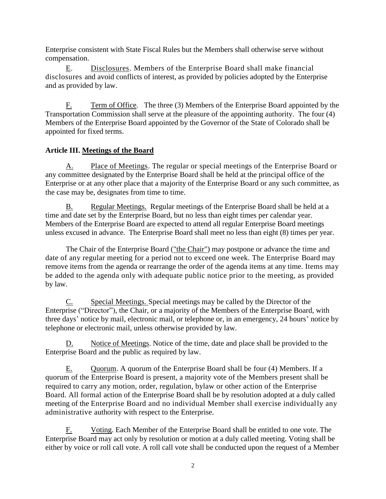Enterprise consistent with State Fiscal Rules but the Members shall otherwise serve without compensation.

E. Disclosures. Members of the Enterprise Board shall make financial disclosures and avoid conflicts of interest, as provided by policies adopted by the Enterprise and as provided by law.

F. Term of Office. The three (3) Members of the Enterprise Board appointed by the Transportation Commission shall serve at the pleasure of the appointing authority. The four (4) Members of the Enterprise Board appointed by the Governor of the State of Colorado shall be appointed for fixed terms.

### **Article III. Meetings of the Board**

A. Place of Meetings. The regular or special meetings of the Enterprise Board or any committee designated by the Enterprise Board shall be held at the principal office of the Enterprise or at any other place that a majority of the Enterprise Board or any such committee, as the case may be, designates from time to time.

B. Regular Meetings. Regular meetings of the Enterprise Board shall be held at a time and date set by the Enterprise Board, but no less than eight times per calendar year. Members of the Enterprise Board are expected to attend all regular Enterprise Board meetings unless excused in advance. The Enterprise Board shall meet no less than eight (8) times per year.

The Chair of the Enterprise Board ("the Chair") may postpone or advance the time and date of any regular meeting for a period not to exceed one week. The Enterprise Board may remove items from the agenda or rearrange the order of the agenda items at any time. Items may be added to the agenda only with adequate public notice prior to the meeting, as provided by law.

Special Meetings. Special meetings may be called by the Director of the Enterprise ("Director"), the Chair, or a majority of the Members of the Enterprise Board, with three days' notice by mail, electronic mail, or telephone or, in an emergency, 24 hours' notice by telephone or electronic mail, unless otherwise provided by law.

Notice of Meetings. Notice of the time, date and place shall be provided to the Enterprise Board and the public as required by law.

E. Quorum. A quorum of the Enterprise Board shall be four (4) Members. If a quorum of the Enterprise Board is present, a majority vote of the Members present shall be required to carry any motion, order, regulation, bylaw or other action of the Enterprise Board. All formal action of the Enterprise Board shall be by resolution adopted at a duly called meeting of the Enterprise Board and no individual Member shall exercise individually any administrative authority with respect to the Enterprise.

F. Voting. Each Member of the Enterprise Board shall be entitled to one vote. The Enterprise Board may act only by resolution or motion at a duly called meeting. Voting shall be either by voice or roll call vote. A roll call vote shall be conducted upon the request of a Member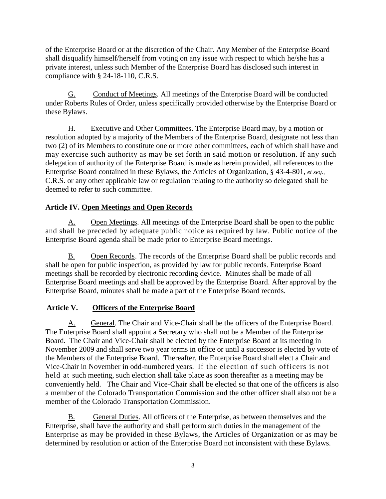of the Enterprise Board or at the discretion of the Chair. Any Member of the Enterprise Board shall disqualify himself/herself from voting on any issue with respect to which he/she has a private interest, unless such Member of the Enterprise Board has disclosed such interest in compliance with § 24-18-110, C.R.S.

G. Conduct of Meetings. All meetings of the Enterprise Board will be conducted under Roberts Rules of Order, unless specifically provided otherwise by the Enterprise Board or these Bylaws.

H. Executive and Other Committees. The Enterprise Board may, by a motion or resolution adopted by a majority of the Members of the Enterprise Board, designate not less than two (2) of its Members to constitute one or more other committees, each of which shall have and may exercise such authority as may be set forth in said motion or resolution. If any such delegation of authority of the Enterprise Board is made as herein provided, all references to the Enterprise Board contained in these Bylaws, the Articles of Organization, § 43-4-801, *et seq.,*  C.R.S. or any other applicable law or regulation relating to the authority so delegated shall be deemed to refer to such committee.

## **Article IV. Open Meetings and Open Records**

A. Open Meetings. All meetings of the Enterprise Board shall be open to the public and shall be preceded by adequate public notice as required by law. Public notice of the Enterprise Board agenda shall be made prior to Enterprise Board meetings.

B. Open Records. The records of the Enterprise Board shall be public records and shall be open for public inspection, as provided by law for public records. Enterprise Board meetings shall be recorded by electronic recording device. Minutes shall be made of all Enterprise Board meetings and shall be approved by the Enterprise Board. After approval by the Enterprise Board, minutes shall be made a part of the Enterprise Board records.

### **Article V. Officers of the Enterprise Board**

A. General. The Chair and Vice-Chair shall be the officers of the Enterprise Board. The Enterprise Board shall appoint a Secretary who shall not be a Member of the Enterprise Board. The Chair and Vice-Chair shall be elected by the Enterprise Board at its meeting in November 2009 and shall serve two year terms in office or until a successor is elected by vote of the Members of the Enterprise Board. Thereafter, the Enterprise Board shall elect a Chair and Vice-Chair in November in odd-numbered years. If the election of such officers is not held at such meeting, such election shall take place as soon thereafter as a meeting may be conveniently held. The Chair and Vice-Chair shall be elected so that one of the officers is also a member of the Colorado Transportation Commission and the other officer shall also not be a member of the Colorado Transportation Commission.

B. General Duties. All officers of the Enterprise, as between themselves and the Enterprise, shall have the authority and shall perform such duties in the management of the Enterprise as may be provided in these Bylaws, the Articles of Organization or as may be determined by resolution or action of the Enterprise Board not inconsistent with these Bylaws.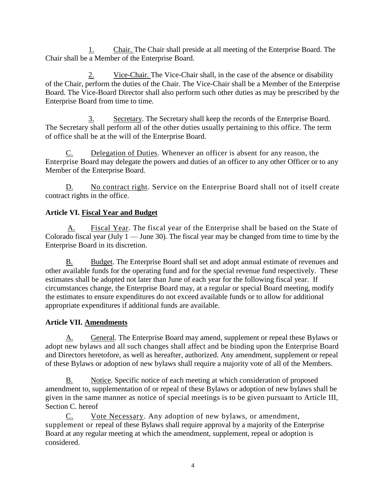1. Chair. The Chair shall preside at all meeting of the Enterprise Board. The Chair shall be a Member of the Enterprise Board.

2. Vice-Chair. The Vice-Chair shall, in the case of the absence or disability of the Chair, perform the duties of the Chair. The Vice-Chair shall be a Member of the Enterprise Board. The Vice-Board Director shall also perform such other duties as may be prescribed by the Enterprise Board from time to time.

3. Secretary. The Secretary shall keep the records of the Enterprise Board. The Secretary shall perform all of the other duties usually pertaining to this office. The term of office shall be at the will of the Enterprise Board.

C. Delegation of Duties. Whenever an officer is absent for any reason, the Enterprise Board may delegate the powers and duties of an officer to any other Officer or to any Member of the Enterprise Board.

D. No contract right. Service on the Enterprise Board shall not of itself create contract rights in the office.

## **Article VI. Fiscal Year and Budget**

 A. Fiscal Year. The fiscal year of the Enterprise shall be based on the State of Colorado fiscal year (July  $1 -$  June 30). The fiscal year may be changed from time to time by the Enterprise Board in its discretion.

B. Budget. The Enterprise Board shall set and adopt annual estimate of revenues and other available funds for the operating fund and for the special revenue fund respectively. These estimates shall be adopted not later than June of each year for the following fiscal year. If circumstances change, the Enterprise Board may, at a regular or special Board meeting, modify the estimates to ensure expenditures do not exceed available funds or to allow for additional appropriate expenditures if additional funds are available.

# **Article VII. Amendments**

A. General. The Enterprise Board may amend, supplement or repeal these Bylaws or adopt new bylaws and all such changes shall affect and be binding upon the Enterprise Board and Directors heretofore, as well as hereafter, authorized. Any amendment, supplement or repeal of these Bylaws or adoption of new bylaws shall require a majority vote of all of the Members.

B. Notice. Specific notice of each meeting at which consideration of proposed amendment to, supplementation of or repeal of these Bylaws or adoption of new bylaws shall be given in the same manner as notice of special meetings is to be given pursuant to Article III, Section C. hereof

C. Vote Necessary. Any adoption of new bylaws, or amendment, supplement or repeal of these Bylaws shall require approval by a majority of the Enterprise Board at any regular meeting at which the amendment, supplement, repeal or adoption is considered.